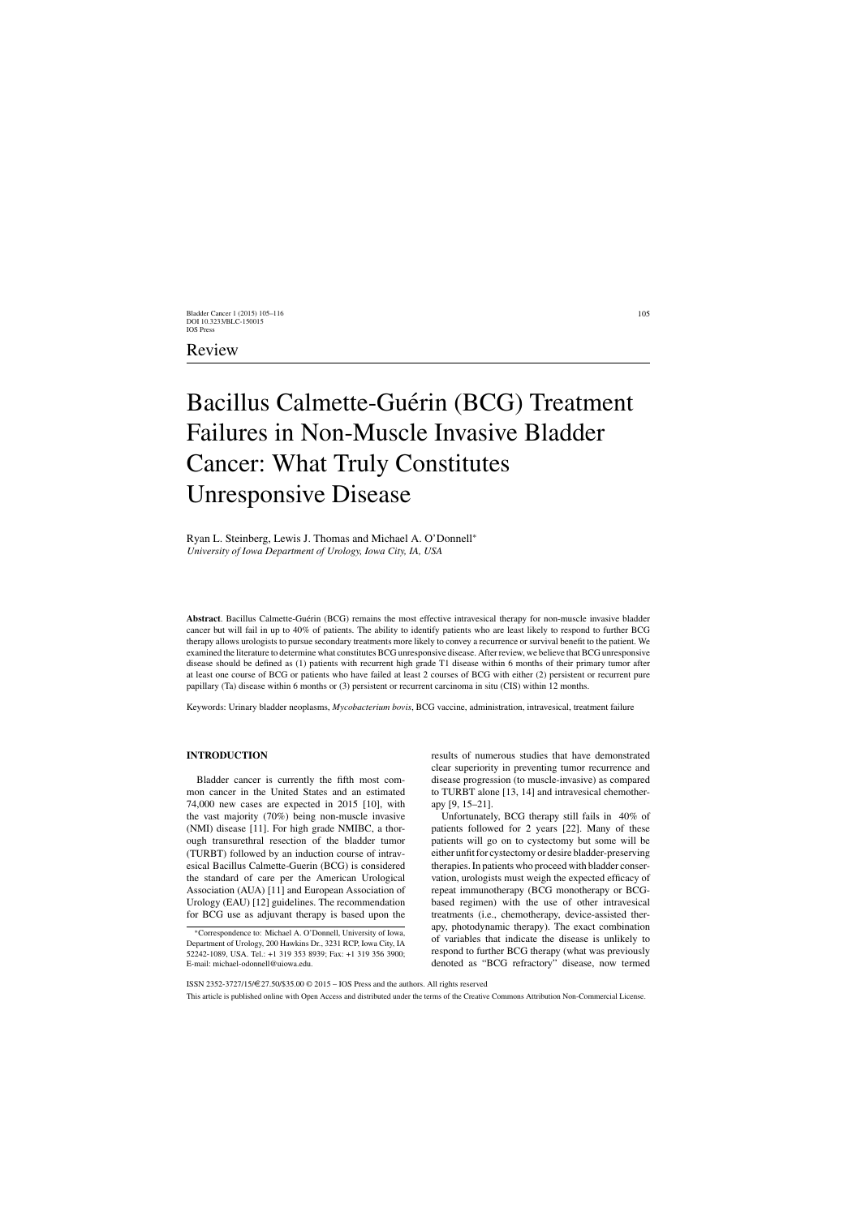# Bacillus Calmette-Guérin (BCG) Treatment Failures in Non-Muscle Invasive Bladder Cancer: What Truly Constitutes Unresponsive Disease

# Ryan L. Steinberg, Lewis J. Thomas and Michael A. O'Donnell<sup>∗</sup> *University of Iowa Department of Urology, Iowa City, IA, USA*

Abstract. Bacillus Calmette-Guérin (BCG) remains the most effective intravesical therapy for non-muscle invasive bladder cancer but will fail in up to 40% of patients. The ability to identify patients who are least likely to respond to further BCG therapy allows urologists to pursue secondary treatments more likely to convey a recurrence or survival benefit to the patient. We examined the literature to determine what constitutes BCG unresponsive disease. After review, we believe that BCG unresponsive disease should be defined as (1) patients with recurrent high grade T1 disease within 6 months of their primary tumor after at least one course of BCG or patients who have failed at least 2 courses of BCG with either (2) persistent or recurrent pure papillary (Ta) disease within 6 months or (3) persistent or recurrent carcinoma in situ (CIS) within 12 months.

Keywords: Urinary bladder neoplasms, *Mycobacterium bovis*, BCG vaccine, administration, intravesical, treatment failure

## **INTRODUCTION**

Bladder cancer is currently the fifth most common cancer in the United States and an estimated 74,000 new cases are expected in 2015 [10], with the vast majority (70%) being non-muscle invasive (NMI) disease [11]. For high grade NMIBC, a thorough transurethral resection of the bladder tumor (TURBT) followed by an induction course of intravesical Bacillus Calmette-Guerin (BCG) is considered the standard of care per the American Urological Association (AUA) [11] and European Association of Urology (EAU) [12] guidelines. The recommendation for BCG use as adjuvant therapy is based upon the results of numerous studies that have demonstrated clear superiority in preventing tumor recurrence and disease progression (to muscle-invasive) as compared to TURBT alone [13, 14] and intravesical chemotherapy [9, 15–21].

Unfortunately, BCG therapy still fails in 40% of patients followed for 2 years [22]. Many of these patients will go on to cystectomy but some will be either unfit for cystectomy or desire bladder-preserving therapies. In patients who proceed with bladder conservation, urologists must weigh the expected efficacy of repeat immunotherapy (BCG monotherapy or BCGbased regimen) with the use of other intravesical treatments (i.e., chemotherapy, device-assisted therapy, photodynamic therapy). The exact combination of variables that indicate the disease is unlikely to respond to further BCG therapy (what was previously denoted as "BCG refractory" disease, now termed

ISSN 2352-3727/15/ $\in$ 27.50/\$35.00  $\odot$  2015 – IOS Press and the authors. All rights reserved

This article is published online with Open Access and distributed under the terms of the Creative Commons Attribution Non-Commercial License.

<sup>∗</sup>Correspondence to: Michael A. O'Donnell, University of Iowa, Department of Urology, 200 Hawkins Dr., 3231 RCP, Iowa City, IA 52242-1089, USA. Tel.: +1 319 353 8939; Fax: +1 319 356 3900; E-mail: [michael-odonnell@uiowa.edu](mailto:michael-odonnell@uiowa.edu).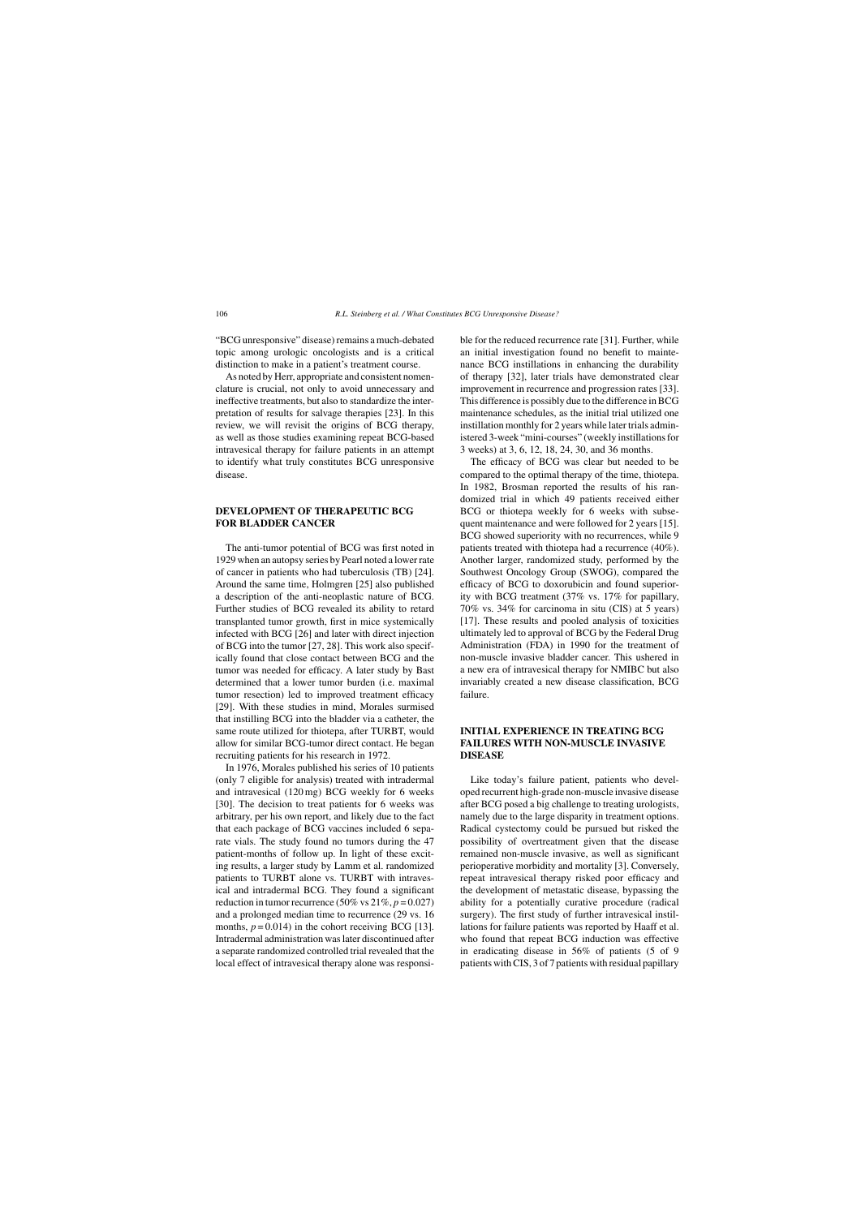"BCG unresponsive" disease) remains a much-debated topic among urologic oncologists and is a critical distinction to make in a patient's treatment course.

As noted by Herr, appropriate and consistent nomenclature is crucial, not only to avoid unnecessary and ineffective treatments, but also to standardize the interpretation of results for salvage therapies [23]. In this review, we will revisit the origins of BCG therapy, as well as those studies examining repeat BCG-based intravesical therapy for failure patients in an attempt to identify what truly constitutes BCG unresponsive disease.

## **DEVELOPMENT OF THERAPEUTIC BCG FOR BLADDER CANCER**

The anti-tumor potential of BCG was first noted in 1929 when an autopsy series by Pearl noted a lower rate of cancer in patients who had tuberculosis (TB) [24]. Around the same time, Holmgren [25] also published a description of the anti-neoplastic nature of BCG. Further studies of BCG revealed its ability to retard transplanted tumor growth, first in mice systemically infected with BCG [26] and later with direct injection of BCG into the tumor [27, 28]. This work also specifically found that close contact between BCG and the tumor was needed for efficacy. A later study by Bast determined that a lower tumor burden (i.e. maximal tumor resection) led to improved treatment efficacy [29]. With these studies in mind, Morales surmised that instilling BCG into the bladder via a catheter, the same route utilized for thiotepa, after TURBT, would allow for similar BCG-tumor direct contact. He began recruiting patients for his research in 1972.

In 1976, Morales published his series of 10 patients (only 7 eligible for analysis) treated with intradermal and intravesical (120 mg) BCG weekly for 6 weeks [30]. The decision to treat patients for 6 weeks was arbitrary, per his own report, and likely due to the fact that each package of BCG vaccines included 6 separate vials. The study found no tumors during the 47 patient-months of follow up. In light of these exciting results, a larger study by Lamm et al. randomized patients to TURBT alone vs. TURBT with intravesical and intradermal BCG. They found a significant reduction in tumor recurrence (50% vs  $21\%, p = 0.027$ ) and a prolonged median time to recurrence (29 vs. 16 months,  $p = 0.014$ ) in the cohort receiving BCG [13]. Intradermal administration was later discontinued after a separate randomized controlled trial revealed that the local effect of intravesical therapy alone was responsible for the reduced recurrence rate [31]. Further, while an initial investigation found no benefit to maintenance BCG instillations in enhancing the durability of therapy [32], later trials have demonstrated clear improvement in recurrence and progression rates [33]. This difference is possibly due to the difference in BCG maintenance schedules, as the initial trial utilized one instillation monthly for 2 years while later trials administered 3-week "mini-courses" (weekly instillations for 3 weeks) at 3, 6, 12, 18, 24, 30, and 36 months.

The efficacy of BCG was clear but needed to be compared to the optimal therapy of the time, thiotepa. In 1982, Brosman reported the results of his randomized trial in which 49 patients received either BCG or thiotepa weekly for 6 weeks with subsequent maintenance and were followed for 2 years [15]. BCG showed superiority with no recurrences, while 9 patients treated with thiotepa had a recurrence (40%). Another larger, randomized study, performed by the Southwest Oncology Group (SWOG), compared the efficacy of BCG to doxorubicin and found superiority with BCG treatment (37% vs. 17% for papillary, 70% vs. 34% for carcinoma in situ (CIS) at 5 years) [17]. These results and pooled analysis of toxicities ultimately led to approval of BCG by the Federal Drug Administration (FDA) in 1990 for the treatment of non-muscle invasive bladder cancer. This ushered in a new era of intravesical therapy for NMIBC but also invariably created a new disease classification, BCG failure.

# **INITIAL EXPERIENCE IN TREATING BCG FAILURES WITH NON-MUSCLE INVASIVE DISEASE**

Like today's failure patient, patients who developed recurrent high-grade non-muscle invasive disease after BCG posed a big challenge to treating urologists, namely due to the large disparity in treatment options. Radical cystectomy could be pursued but risked the possibility of overtreatment given that the disease remained non-muscle invasive, as well as significant perioperative morbidity and mortality [3]. Conversely, repeat intravesical therapy risked poor efficacy and the development of metastatic disease, bypassing the ability for a potentially curative procedure (radical surgery). The first study of further intravesical instillations for failure patients was reported by Haaff et al. who found that repeat BCG induction was effective in eradicating disease in 56% of patients (5 of 9 patients with CIS, 3 of 7 patients with residual papillary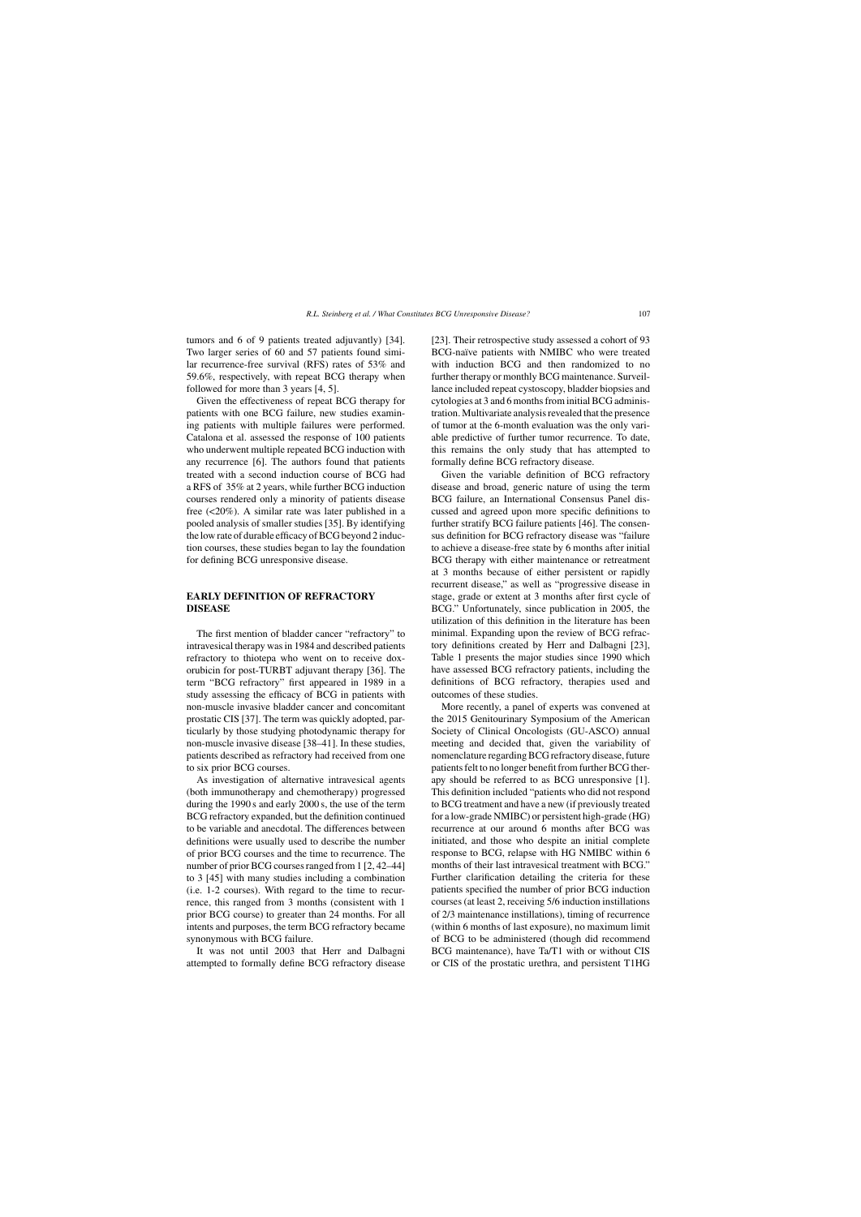tumors and 6 of 9 patients treated adjuvantly) [34]. Two larger series of 60 and 57 patients found similar recurrence-free survival (RFS) rates of 53% and 59.6%, respectively, with repeat BCG therapy when followed for more than 3 years [4, 5].

Given the effectiveness of repeat BCG therapy for patients with one BCG failure, new studies examining patients with multiple failures were performed. Catalona et al. assessed the response of 100 patients who underwent multiple repeated BCG induction with any recurrence [6]. The authors found that patients treated with a second induction course of BCG had a RFS of 35% at 2 years, while further BCG induction courses rendered only a minority of patients disease free (<20%). A similar rate was later published in a pooled analysis of smaller studies [35]. By identifying the low rate of durable efficacy of BCG beyond 2 induction courses, these studies began to lay the foundation for defining BCG unresponsive disease.

# **EARLY DEFINITION OF REFRACTORY DISEASE**

The first mention of bladder cancer "refractory" to intravesical therapy was in 1984 and described patients refractory to thiotepa who went on to receive doxorubicin for post-TURBT adjuvant therapy [36]. The term "BCG refractory" first appeared in 1989 in a study assessing the efficacy of BCG in patients with non-muscle invasive bladder cancer and concomitant prostatic CIS [37]. The term was quickly adopted, particularly by those studying photodynamic therapy for non-muscle invasive disease [38–41]. In these studies, patients described as refractory had received from one to six prior BCG courses.

As investigation of alternative intravesical agents (both immunotherapy and chemotherapy) progressed during the 1990 s and early 2000 s, the use of the term BCG refractory expanded, but the definition continued to be variable and anecdotal. The differences between definitions were usually used to describe the number of prior BCG courses and the time to recurrence. The number of prior BCG courses ranged from 1 [2, 42–44] to 3 [45] with many studies including a combination (i.e. 1-2 courses). With regard to the time to recurrence, this ranged from 3 months (consistent with 1 prior BCG course) to greater than 24 months. For all intents and purposes, the term BCG refractory became synonymous with BCG failure.

It was not until 2003 that Herr and Dalbagni attempted to formally define BCG refractory disease [23]. Their retrospective study assessed a cohort of 93 BCG-naïve patients with NMIBC who were treated with induction BCG and then randomized to no further therapy or monthly BCG maintenance. Surveillance included repeat cystoscopy, bladder biopsies and cytologies at 3 and 6 months from initial BCG administration. Multivariate analysis revealed that the presence of tumor at the 6-month evaluation was the only variable predictive of further tumor recurrence. To date, this remains the only study that has attempted to formally define BCG refractory disease.

Given the variable definition of BCG refractory disease and broad, generic nature of using the term BCG failure, an International Consensus Panel discussed and agreed upon more specific definitions to further stratify BCG failure patients [46]. The consensus definition for BCG refractory disease was "failure to achieve a disease-free state by 6 months after initial BCG therapy with either maintenance or retreatment at 3 months because of either persistent or rapidly recurrent disease," as well as "progressive disease in stage, grade or extent at 3 months after first cycle of BCG." Unfortunately, since publication in 2005, the utilization of this definition in the literature has been minimal. Expanding upon the review of BCG refractory definitions created by Herr and Dalbagni [23], Table 1 presents the major studies since 1990 which have assessed BCG refractory patients, including the definitions of BCG refractory, therapies used and outcomes of these studies.

More recently, a panel of experts was convened at the 2015 Genitourinary Symposium of the American Society of Clinical Oncologists (GU-ASCO) annual meeting and decided that, given the variability of nomenclature regarding BCG refractory disease, future patients felt to no longer benefit from further BCG therapy should be referred to as BCG unresponsive [1]. This definition included "patients who did not respond to BCG treatment and have a new (if previously treated for a low-grade NMIBC) or persistent high-grade (HG) recurrence at our around 6 months after BCG was initiated, and those who despite an initial complete response to BCG, relapse with HG NMIBC within 6 months of their last intravesical treatment with BCG." Further clarification detailing the criteria for these patients specified the number of prior BCG induction courses (at least 2, receiving 5/6 induction instillations of 2/3 maintenance instillations), timing of recurrence (within 6 months of last exposure), no maximum limit of BCG to be administered (though did recommend BCG maintenance), have Ta/T1 with or without CIS or CIS of the prostatic urethra, and persistent T1HG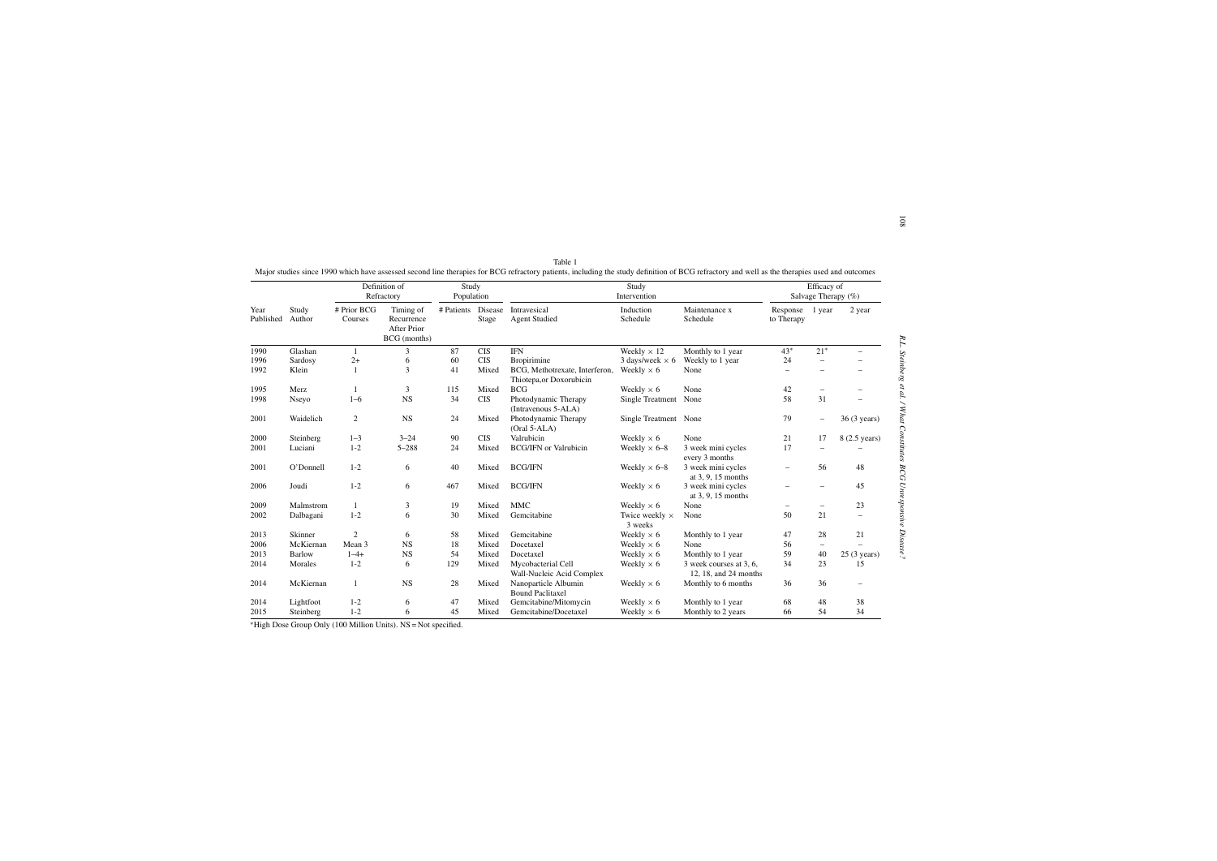|                   |                 | Definition of<br>Refractory |                                                               | Study<br>Population |                  | Study<br>Intervention                                      |                                  |                                                  | Efficacy of<br>Salvage Therapy (%) |                          |                          |
|-------------------|-----------------|-----------------------------|---------------------------------------------------------------|---------------------|------------------|------------------------------------------------------------|----------------------------------|--------------------------------------------------|------------------------------------|--------------------------|--------------------------|
| Year<br>Published | Study<br>Author | # Prior BCG<br>Courses      | Timing of<br>Recurrence<br><b>After Prior</b><br>BCG (months) | # Patients          | Disease<br>Stage | Intravesical<br><b>Agent Studied</b>                       | Induction<br>Schedule            | Maintenance x<br>Schedule                        | Response<br>to Therapy             | 1 year                   | 2 year                   |
| 1990              | Glashan         | 1                           | 3                                                             | 87                  | <b>CIS</b>       | <b>IFN</b>                                                 | Weekly $\times$ 12               | Monthly to 1 year                                | $43*$                              | $21*$                    |                          |
| 1996              | Sardosy         | $2+$                        | 6                                                             | 60                  | <b>CIS</b>       | <b>Bropirimine</b>                                         | 3 days/week $\times$ 6           | Weekly to 1 year                                 | 24                                 | $\overline{\phantom{0}}$ |                          |
| 1992              | Klein           | $\mathbf{1}$                | 3                                                             | 41                  | Mixed            | BCG, Methotrexate, Interferon,<br>Thiotepa, or Doxorubicin | Weekly $\times$ 6                | None                                             |                                    |                          |                          |
| 1995              | Merz            | 1                           | 3                                                             | 115                 | Mixed            | <b>BCG</b>                                                 | Weekly $\times$ 6                | None                                             | 42                                 | $\overline{\phantom{0}}$ |                          |
| 1998              | Nseyo           | $1 - 6$                     | <b>NS</b>                                                     | 34                  | <b>CIS</b>       | Photodynamic Therapy<br>(Intravenous 5-ALA)                | Single Treatment                 | None                                             | 58                                 | 31                       |                          |
| 2001              | Waidelich       | $\mathfrak{2}$              | <b>NS</b>                                                     | 24                  | Mixed            | Photodynamic Therapy<br>$(Oral 5-ALA)$                     | Single Treatment None            |                                                  | 79                                 | $\overline{\phantom{0}}$ | 36 (3 years)             |
| 2000              | Steinberg       | $1 - 3$                     | $3 - 24$                                                      | 90                  | <b>CIS</b>       | Valrubicin                                                 | Weekly $\times$ 6                | None                                             | 21                                 | 17                       | 8 (2.5 years)            |
| 2001              | Luciani         | $1 - 2$                     | $5 - 288$                                                     | 24                  | Mixed            | <b>BCG/IFN</b> or Valrubicin                               | Weekly $\times$ 6–8              | 3 week mini cycles<br>every 3 months             | 17                                 |                          |                          |
| 2001              | O'Donnell       | $1 - 2$                     | 6                                                             | 40                  | Mixed            | <b>BCG/IFN</b>                                             | Weekly $\times$ 6–8              | 3 week mini cycles<br>at 3, 9, 15 months         | $\overline{\phantom{0}}$           | 56                       | 48                       |
| 2006              | Joudi           | $1 - 2$                     | 6                                                             | 467                 | Mixed            | <b>BCG/IFN</b>                                             | Weekly $\times$ 6                | 3 week mini cycles<br>at $3.9.15$ months         |                                    |                          | 45                       |
| 2009              | Malmstrom       | -1                          | 3                                                             | 19                  | Mixed            | <b>MMC</b>                                                 | Weekly $\times$ 6                | None                                             |                                    | $\overline{\phantom{0}}$ | 23                       |
| 2002              | Dalbagani       | $1 - 2$                     | 6                                                             | 30                  | Mixed            | Gemcitabine                                                | Twice weekly $\times$<br>3 weeks | None                                             | 50                                 | 21                       | $\overline{\phantom{0}}$ |
| 2013              | Skinner         | $\overline{2}$              | 6                                                             | 58                  | Mixed            | Gemcitabine                                                | Weekly $\times$ 6                | Monthly to 1 year                                | 47                                 | 28                       | 21                       |
| 2006              | McKiernan       | Mean 3                      | <b>NS</b>                                                     | 18                  | Mixed            | Docetaxel                                                  | Weekly $\times$ 6                | None                                             | 56                                 | $\overline{\phantom{0}}$ |                          |
| 2013              | <b>Barlow</b>   | $1 - 4 +$                   | <b>NS</b>                                                     | 54                  | Mixed            | Docetaxel                                                  | Weekly $\times$ 6                | Monthly to 1 year                                | 59                                 | 40                       | $25(3 \text{ years})$    |
| 2014              | Morales         | $1 - 2$                     | 6                                                             | 129                 | Mixed            | Mycobacterial Cell<br>Wall-Nucleic Acid Complex            | Weekly $\times$ 6                | 3 week courses at 3, 6,<br>12, 18, and 24 months | 34                                 | 23                       | 15                       |
| 2014              | McKiernan       | $\mathbf{1}$                | <b>NS</b>                                                     | 28                  | Mixed            | Nanoparticle Albumin<br><b>Bound Paclitaxel</b>            | Weekly $\times$ 6                | Monthly to 6 months                              | 36                                 | 36                       |                          |
| 2014              | Lightfoot       | $1 - 2$                     | 6                                                             | 47                  | Mixed            | Gemcitabine/Mitomycin                                      | Weekly $\times$ 6                | Monthly to 1 year                                | 68                                 | 48                       | 38                       |
| 2015              | Steinberg       | $1 - 2$                     | 6                                                             | 45                  | Mixed            | Gemcitabine/Docetaxel                                      | Weekly $\times$ 6                | Monthly to 2 years                               | 66                                 | 54                       | 34                       |

| Table 1                                                                                                                                                                                      |  |
|----------------------------------------------------------------------------------------------------------------------------------------------------------------------------------------------|--|
| Major studies since 1990 which have assessed second line therapies for BCG refractory patients, including the study definition of BCG refractory and well as the therapies used and outcomes |  |

<sup>∗</sup>High Dose Group Only (100 Million Units). NS <sup>=</sup> Not specified.

108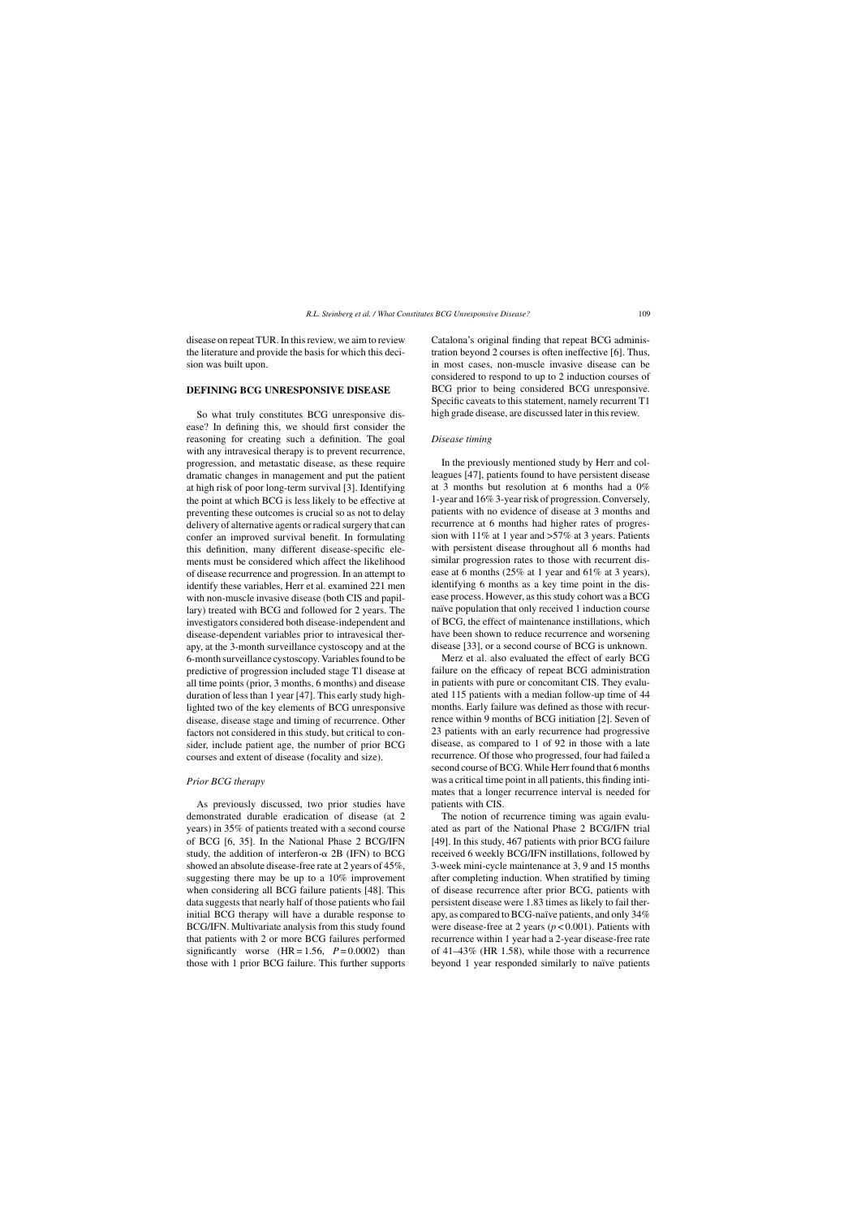disease on repeat TUR. In this review, we aim to review the literature and provide the basis for which this decision was built upon.

#### **DEFINING BCG UNRESPONSIVE DISEASE**

So what truly constitutes BCG unresponsive disease? In defining this, we should first consider the reasoning for creating such a definition. The goal with any intravesical therapy is to prevent recurrence, progression, and metastatic disease, as these require dramatic changes in management and put the patient at high risk of poor long-term survival [3]. Identifying the point at which BCG is less likely to be effective at preventing these outcomes is crucial so as not to delay delivery of alternative agents or radical surgery that can confer an improved survival benefit. In formulating this definition, many different disease-specific elements must be considered which affect the likelihood of disease recurrence and progression. In an attempt to identify these variables, Herr et al. examined 221 men with non-muscle invasive disease (both CIS and papillary) treated with BCG and followed for 2 years. The investigators considered both disease-independent and disease-dependent variables prior to intravesical therapy, at the 3-month surveillance cystoscopy and at the 6-month surveillance cystoscopy. Variables found to be predictive of progression included stage T1 disease at all time points (prior, 3 months, 6 months) and disease duration of less than 1 year [47]. This early study highlighted two of the key elements of BCG unresponsive disease, disease stage and timing of recurrence. Other factors not considered in this study, but critical to consider, include patient age, the number of prior BCG courses and extent of disease (focality and size).

### *Prior BCG therapy*

As previously discussed, two prior studies have demonstrated durable eradication of disease (at 2 years) in 35% of patients treated with a second course of BCG [6, 35]. In the National Phase 2 BCG/IFN study, the addition of interferon- $\alpha$  2B (IFN) to BCG showed an absolute disease-free rate at 2 years of 45%, suggesting there may be up to a 10% improvement when considering all BCG failure patients [48]. This data suggests that nearly half of those patients who fail initial BCG therapy will have a durable response to BCG/IFN. Multivariate analysis from this study found that patients with 2 or more BCG failures performed significantly worse  $(HR = 1.56, P = 0.0002)$  than those with 1 prior BCG failure. This further supports

Catalona's original finding that repeat BCG administration beyond 2 courses is often ineffective [6]. Thus, in most cases, non-muscle invasive disease can be considered to respond to up to 2 induction courses of BCG prior to being considered BCG unresponsive. Specific caveats to this statement, namely recurrent T1 high grade disease, are discussed later in this review.

#### *Disease timing*

In the previously mentioned study by Herr and colleagues [47], patients found to have persistent disease at 3 months but resolution at 6 months had a 0% 1-year and 16% 3-year risk of progression. Conversely, patients with no evidence of disease at 3 months and recurrence at 6 months had higher rates of progression with 11% at 1 year and >57% at 3 years. Patients with persistent disease throughout all 6 months had similar progression rates to those with recurrent disease at 6 months (25% at 1 year and 61% at 3 years), identifying 6 months as a key time point in the disease process. However, as this study cohort was a BCG naïve population that only received 1 induction course of BCG, the effect of maintenance instillations, which have been shown to reduce recurrence and worsening disease [33], or a second course of BCG is unknown.

Merz et al. also evaluated the effect of early BCG failure on the efficacy of repeat BCG administration in patients with pure or concomitant CIS. They evaluated 115 patients with a median follow-up time of 44 months. Early failure was defined as those with recurrence within 9 months of BCG initiation [2]. Seven of 23 patients with an early recurrence had progressive disease, as compared to 1 of 92 in those with a late recurrence. Of those who progressed, four had failed a second course of BCG. While Herr found that 6 months was a critical time point in all patients, this finding intimates that a longer recurrence interval is needed for patients with CIS.

The notion of recurrence timing was again evaluated as part of the National Phase 2 BCG/IFN trial [49]. In this study, 467 patients with prior BCG failure received 6 weekly BCG/IFN instillations, followed by 3-week mini-cycle maintenance at 3, 9 and 15 months after completing induction. When stratified by timing of disease recurrence after prior BCG, patients with persistent disease were 1.83 times as likely to fail therapy, as compared to BCG-na¨ıve patients, and only 34% were disease-free at 2 years (*p* < 0.001). Patients with recurrence within 1 year had a 2-year disease-free rate of 41–43% (HR 1.58), while those with a recurrence beyond 1 year responded similarly to naïve patients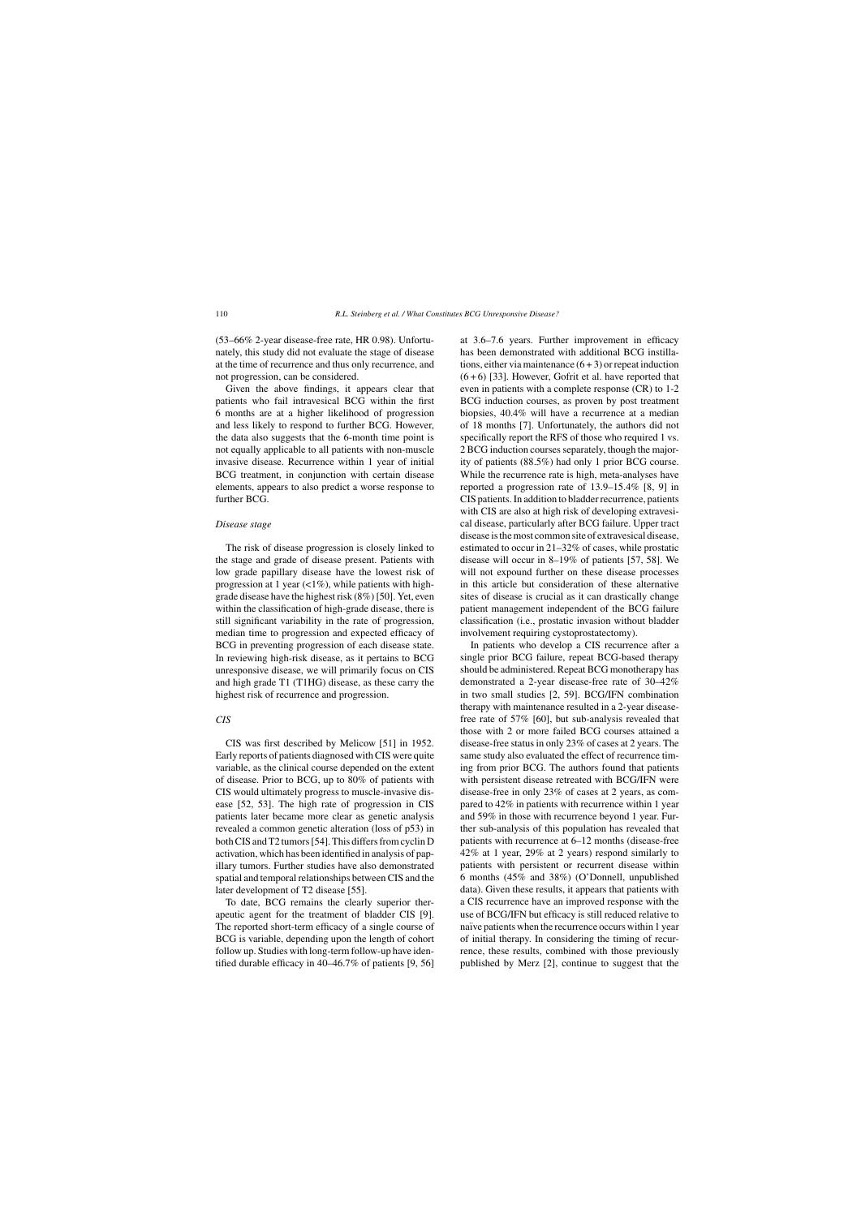(53–66% 2-year disease-free rate, HR 0.98). Unfortunately, this study did not evaluate the stage of disease at the time of recurrence and thus only recurrence, and not progression, can be considered.

Given the above findings, it appears clear that patients who fail intravesical BCG within the first 6 months are at a higher likelihood of progression and less likely to respond to further BCG. However, the data also suggests that the 6-month time point is not equally applicable to all patients with non-muscle invasive disease. Recurrence within 1 year of initial BCG treatment, in conjunction with certain disease elements, appears to also predict a worse response to further BCG.

#### *Disease stage*

The risk of disease progression is closely linked to the stage and grade of disease present. Patients with low grade papillary disease have the lowest risk of progression at 1 year  $\left(\langle 1\% \right)$ , while patients with highgrade disease have the highest risk (8%) [50]. Yet, even within the classification of high-grade disease, there is still significant variability in the rate of progression, median time to progression and expected efficacy of BCG in preventing progression of each disease state. In reviewing high-risk disease, as it pertains to BCG unresponsive disease, we will primarily focus on CIS and high grade T1 (T1HG) disease, as these carry the highest risk of recurrence and progression.

## *CIS*

CIS was first described by Melicow [51] in 1952. Early reports of patients diagnosed with CIS were quite variable, as the clinical course depended on the extent of disease. Prior to BCG, up to 80% of patients with CIS would ultimately progress to muscle-invasive disease [52, 53]. The high rate of progression in CIS patients later became more clear as genetic analysis revealed a common genetic alteration (loss of p53) in both CIS and T2 tumors [54]. This differs from cyclin D activation, which has been identified in analysis of papillary tumors. Further studies have also demonstrated spatial and temporal relationships between CIS and the later development of T2 disease [55].

To date, BCG remains the clearly superior therapeutic agent for the treatment of bladder CIS [9]. The reported short-term efficacy of a single course of BCG is variable, depending upon the length of cohort follow up. Studies with long-term follow-up have identified durable efficacy in 40–46.7% of patients [9, 56] at 3.6–7.6 years. Further improvement in efficacy has been demonstrated with additional BCG instillations, either via maintenance  $(6 + 3)$  or repeat induction  $(6+6)$  [33]. However, Gofrit et al. have reported that even in patients with a complete response (CR) to 1-2 BCG induction courses, as proven by post treatment biopsies, 40.4% will have a recurrence at a median of 18 months [7]. Unfortunately, the authors did not specifically report the RFS of those who required 1 vs. 2 BCG induction courses separately, though the majority of patients (88.5%) had only 1 prior BCG course. While the recurrence rate is high, meta-analyses have reported a progression rate of 13.9–15.4% [8, 9] in CIS patients. In addition to bladder recurrence, patients with CIS are also at high risk of developing extravesical disease, particularly after BCG failure. Upper tract disease is the most common site of extravesical disease, estimated to occur in 21–32% of cases, while prostatic disease will occur in 8–19% of patients [57, 58]. We will not expound further on these disease processes in this article but consideration of these alternative sites of disease is crucial as it can drastically change patient management independent of the BCG failure classification (i.e., prostatic invasion without bladder involvement requiring cystoprostatectomy).

In patients who develop a CIS recurrence after a single prior BCG failure, repeat BCG-based therapy should be administered. Repeat BCG monotherapy has demonstrated a 2-year disease-free rate of 30–42% in two small studies [2, 59]. BCG/IFN combination therapy with maintenance resulted in a 2-year diseasefree rate of 57% [60], but sub-analysis revealed that those with 2 or more failed BCG courses attained a disease-free status in only 23% of cases at 2 years. The same study also evaluated the effect of recurrence timing from prior BCG. The authors found that patients with persistent disease retreated with BCG/IFN were disease-free in only 23% of cases at 2 years, as compared to 42% in patients with recurrence within 1 year and 59% in those with recurrence beyond 1 year. Further sub-analysis of this population has revealed that patients with recurrence at 6–12 months (disease-free 42% at 1 year, 29% at 2 years) respond similarly to patients with persistent or recurrent disease within 6 months (45% and 38%) (O'Donnell, unpublished data). Given these results, it appears that patients with a CIS recurrence have an improved response with the use of BCG/IFN but efficacy is still reduced relative to naïve patients when the recurrence occurs within 1 year of initial therapy. In considering the timing of recurrence, these results, combined with those previously published by Merz [2], continue to suggest that the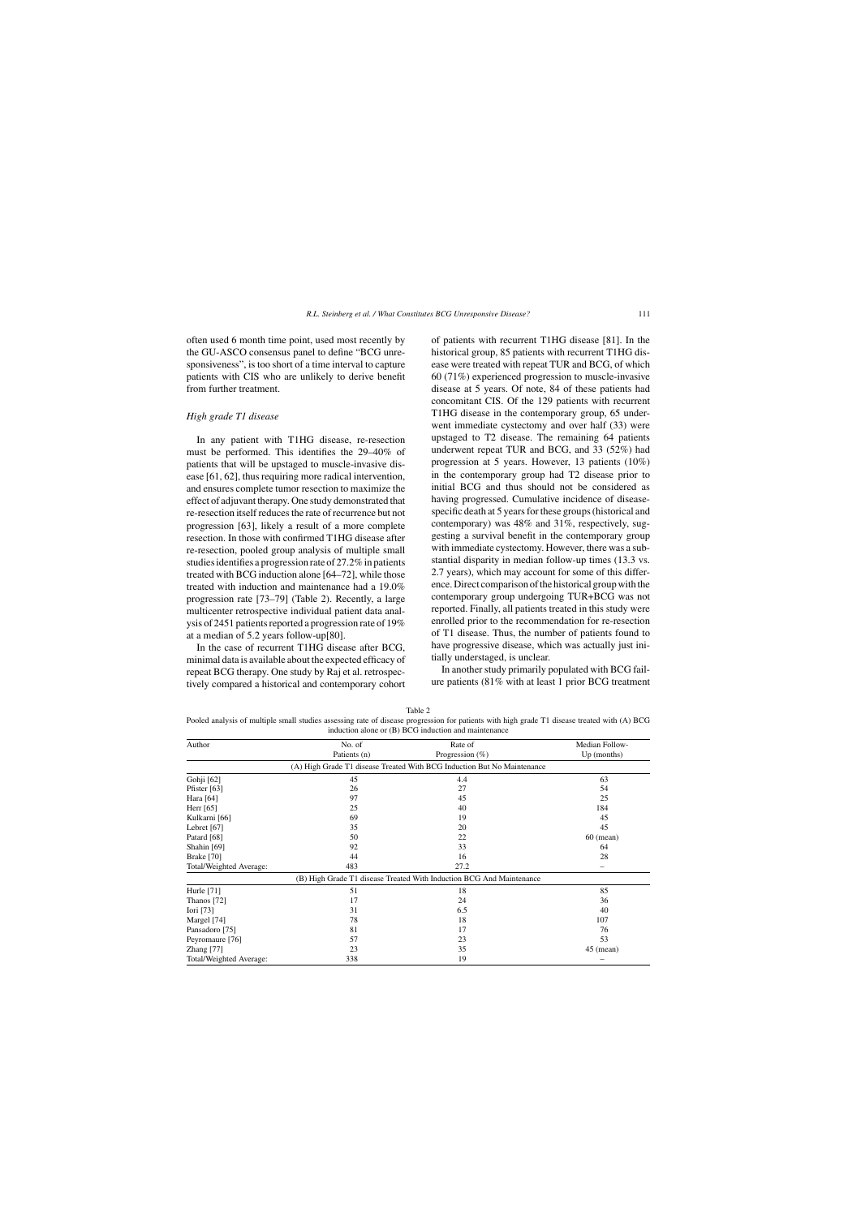often used 6 month time point, used most recently by the GU-ASCO consensus panel to define "BCG unresponsiveness", is too short of a time interval to capture patients with CIS who are unlikely to derive benefit from further treatment.

### *High grade T1 disease*

In any patient with T1HG disease, re-resection must be performed. This identifies the 29–40% of patients that will be upstaged to muscle-invasive disease [61, 62], thus requiring more radical intervention, and ensures complete tumor resection to maximize the effect of adjuvant therapy. One study demonstrated that re-resection itself reduces the rate of recurrence but not progression [63], likely a result of a more complete resection. In those with confirmed T1HG disease after re-resection, pooled group analysis of multiple small studies identifies a progression rate of 27.2% in patients treated with BCG induction alone [64–72], while those treated with induction and maintenance had a 19.0% progression rate [73–79] (Table 2). Recently, a large multicenter retrospective individual patient data analysis of 2451 patients reported a progression rate of 19% at a median of 5.2 years follow-up[80].

In the case of recurrent T1HG disease after BCG, minimal data is available about the expected efficacy of repeat BCG therapy. One study by Raj et al. retrospectively compared a historical and contemporary cohort

of patients with recurrent T1HG disease [81]. In the historical group, 85 patients with recurrent T1HG disease were treated with repeat TUR and BCG, of which 60 (71%) experienced progression to muscle-invasive disease at 5 years. Of note, 84 of these patients had concomitant CIS. Of the 129 patients with recurrent T1HG disease in the contemporary group, 65 underwent immediate cystectomy and over half (33) were upstaged to T2 disease. The remaining 64 patients underwent repeat TUR and BCG, and 33 (52%) had progression at 5 years. However, 13 patients (10%) in the contemporary group had T2 disease prior to initial BCG and thus should not be considered as having progressed. Cumulative incidence of diseasespecific death at 5 years for these groups (historical and contemporary) was 48% and 31%, respectively, suggesting a survival benefit in the contemporary group with immediate cystectomy. However, there was a substantial disparity in median follow-up times (13.3 vs. 2.7 years), which may account for some of this difference. Direct comparison of the historical group with the contemporary group undergoing TUR+BCG was not reported. Finally, all patients treated in this study were enrolled prior to the recommendation for re-resection of T1 disease. Thus, the number of patients found to have progressive disease, which was actually just initially understaged, is unclear.

In another study primarily populated with BCG failure patients (81% with at least 1 prior BCG treatment

| Table 2                                                                                                                                      |  |
|----------------------------------------------------------------------------------------------------------------------------------------------|--|
| Pooled analysis of multiple small studies assessing rate of disease progression for patients with high grade T1 disease treated with (A) BCG |  |
| induction alone or (B) BCG induction and maintenance                                                                                         |  |

| Author                  | No. of<br>Patients (n) | Rate of<br>Progression $(\% )$                                          | Median Follow-<br>Up (months) |
|-------------------------|------------------------|-------------------------------------------------------------------------|-------------------------------|
|                         |                        | (A) High Grade T1 disease Treated With BCG Induction But No Maintenance |                               |
| Gohji [62]              | 45                     | 4.4                                                                     | 63                            |
| Pfister $[63]$          | 26                     | 27                                                                      | 54                            |
| Hara [64]               | 97                     | 45                                                                      | 25                            |
| Herr $[65]$             | 25                     | 40                                                                      | 184                           |
| Kulkarni [66]           | 69                     | 19                                                                      | 45                            |
| Lebret [67]             | 35                     | 20                                                                      | 45                            |
| Patard [68]             | 50                     | 22                                                                      | $60$ (mean)                   |
| Shahin [69]             | 92                     | 33                                                                      | 64                            |
| <b>Brake</b> [70]       | 44                     | 16                                                                      | 28                            |
| Total/Weighted Average: | 483                    | 27.2                                                                    |                               |
|                         |                        | (B) High Grade T1 disease Treated With Induction BCG And Maintenance    |                               |
| Hurle $[71]$            | 51                     | 18                                                                      | 85                            |
| Thanos [72]             | 17                     | 24                                                                      | 36                            |
| Iori [73]               | 31                     | 6.5                                                                     | 40                            |
| Margel [74]             | 78                     | 18                                                                      | 107                           |
| Pansadoro [75]          | 81                     | 17                                                                      | 76                            |
| Peyromaure [76]         | 57                     | 23                                                                      | 53                            |
| Zhang $[77]$            | 23                     | 35                                                                      | $45$ (mean)                   |
| Total/Weighted Average: | 338                    | 19                                                                      |                               |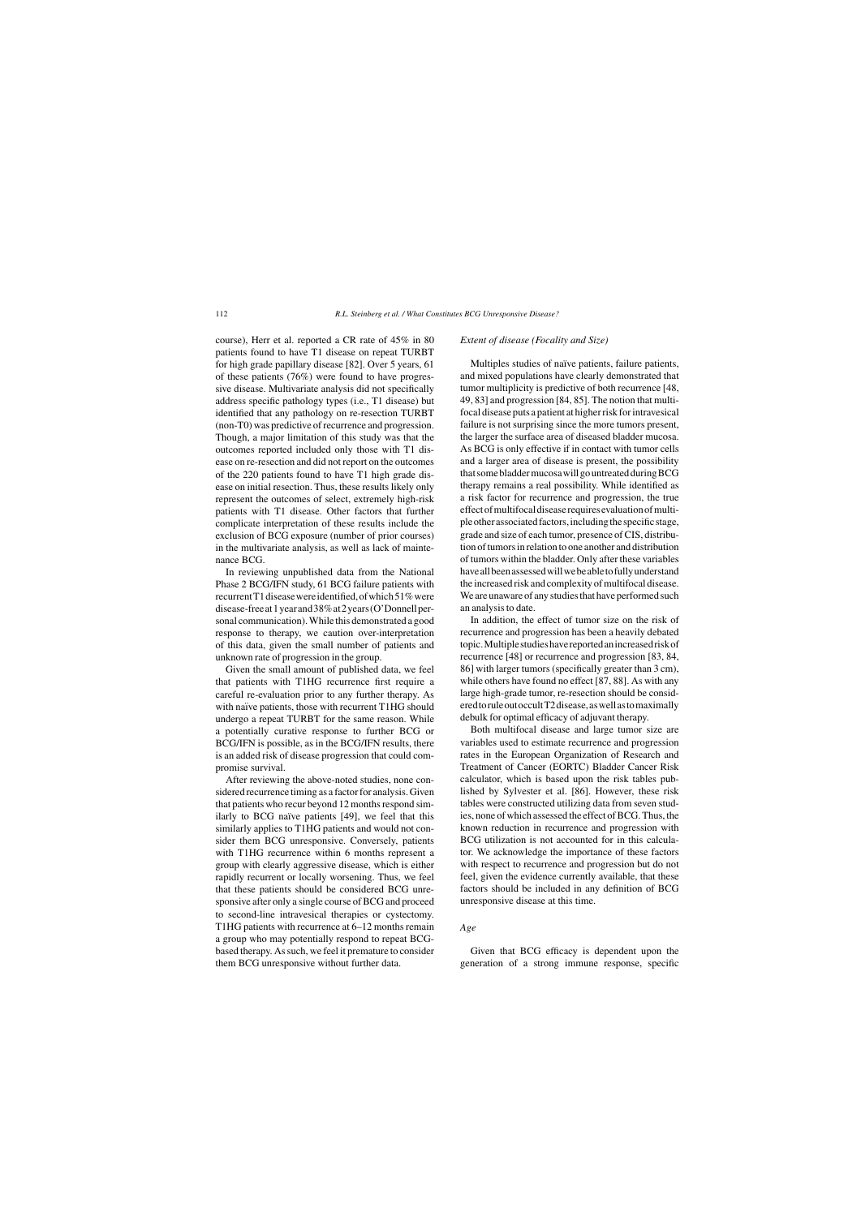course), Herr et al. reported a CR rate of 45% in 80 patients found to have T1 disease on repeat TURBT for high grade papillary disease [82]. Over 5 years, 61 of these patients (76%) were found to have progressive disease. Multivariate analysis did not specifically address specific pathology types (i.e., T1 disease) but identified that any pathology on re-resection TURBT (non-T0) was predictive of recurrence and progression. Though, a major limitation of this study was that the outcomes reported included only those with T1 disease on re-resection and did not report on the outcomes of the 220 patients found to have T1 high grade disease on initial resection. Thus, these results likely only represent the outcomes of select, extremely high-risk patients with T1 disease. Other factors that further complicate interpretation of these results include the exclusion of BCG exposure (number of prior courses) in the multivariate analysis, as well as lack of maintenance BCG.

In reviewing unpublished data from the National Phase 2 BCG/IFN study, 61 BCG failure patients with recurrent T1 disease were identified, of which 51% were disease-freeat1yearand38%at2years(O'Donnellpersonal communication). While this demonstrated a good response to therapy, we caution over-interpretation of this data, given the small number of patients and unknown rate of progression in the group.

Given the small amount of published data, we feel that patients with T1HG recurrence first require a careful re-evaluation prior to any further therapy. As with naïve patients, those with recurrent T1HG should undergo a repeat TURBT for the same reason. While a potentially curative response to further BCG or BCG/IFN is possible, as in the BCG/IFN results, there is an added risk of disease progression that could compromise survival.

After reviewing the above-noted studies, none considered recurrence timing as a factor for analysis. Given that patients who recur beyond 12 months respond similarly to BCG naïve patients [49], we feel that this similarly applies to T1HG patients and would not consider them BCG unresponsive. Conversely, patients with T1HG recurrence within 6 months represent a group with clearly aggressive disease, which is either rapidly recurrent or locally worsening. Thus, we feel that these patients should be considered BCG unresponsive after only a single course of BCG and proceed to second-line intravesical therapies or cystectomy. T1HG patients with recurrence at 6–12 months remain a group who may potentially respond to repeat BCGbased therapy. As such, we feel it premature to consider them BCG unresponsive without further data.

#### *Extent of disease (Focality and Size)*

Multiples studies of naïve patients, failure patients, and mixed populations have clearly demonstrated that tumor multiplicity is predictive of both recurrence [48, 49, 83] and progression [84, 85]. The notion that multifocal disease puts a patient at higher risk for intravesical failure is not surprising since the more tumors present, the larger the surface area of diseased bladder mucosa. As BCG is only effective if in contact with tumor cells and a larger area of disease is present, the possibility thatsomebladdermucosawillgountreatedduringBCG therapy remains a real possibility. While identified as a risk factor for recurrence and progression, the true effectofmultifocaldiseaserequiresevaluationofmultipleotherassociatedfactors,includingthespecificstage, grade and size of each tumor, presence of CIS, distribution of tumors in relation to one another and distribution of tumors within the bladder. Only after these variables have all been assessed will we be able to fully understand the increased risk and complexity of multifocal disease. We are unaware of any studies that have performed such an analysis to date.

In addition, the effect of tumor size on the risk of recurrence and progression has been a heavily debated topic.Multiplestudieshavereportedanincreasedriskof recurrence [48] or recurrence and progression [83, 84, 86] with larger tumors (specifically greater than 3 cm), while others have found no effect [87, 88]. As with any large high-grade tumor, re-resection should be consideredtoruleoutoccultT2disease,aswellastomaximally debulk for optimal efficacy of adjuvant therapy.

Both multifocal disease and large tumor size are variables used to estimate recurrence and progression rates in the European Organization of Research and Treatment of Cancer (EORTC) Bladder Cancer Risk calculator, which is based upon the risk tables published by Sylvester et al. [86]. However, these risk tables were constructed utilizing data from seven studies, none of which assessed the effect of BCG. Thus, the known reduction in recurrence and progression with BCG utilization is not accounted for in this calculator. We acknowledge the importance of these factors with respect to recurrence and progression but do not feel, given the evidence currently available, that these factors should be included in any definition of BCG unresponsive disease at this time.

# *Age*

Given that BCG efficacy is dependent upon the generation of a strong immune response, specific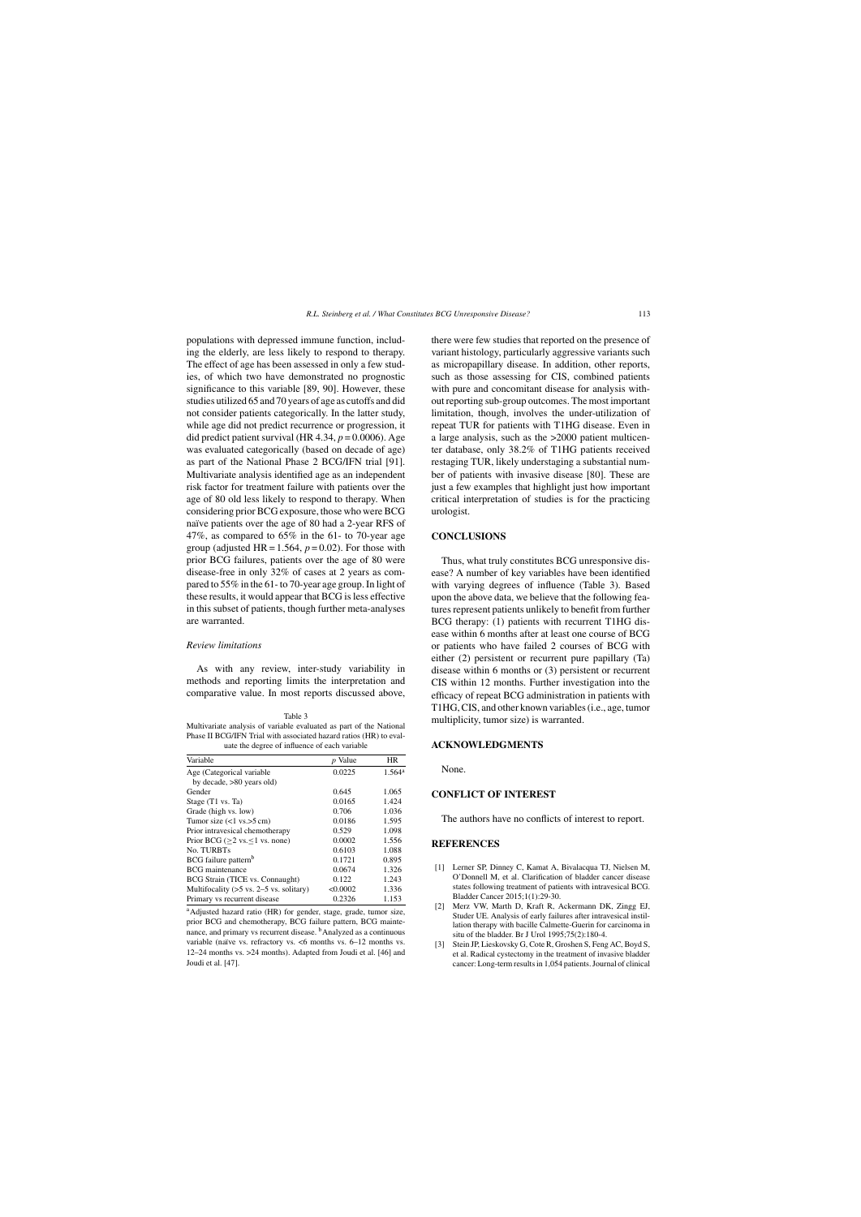populations with depressed immune function, including the elderly, are less likely to respond to therapy. The effect of age has been assessed in only a few studies, of which two have demonstrated no prognostic significance to this variable [89, 90]. However, these studies utilized 65 and 70 years of age as cutoffs and did not consider patients categorically. In the latter study, while age did not predict recurrence or progression, it did predict patient survival (HR  $4.34$ ,  $p = 0.0006$ ). Age was evaluated categorically (based on decade of age) as part of the National Phase 2 BCG/IFN trial [91]. Multivariate analysis identified age as an independent risk factor for treatment failure with patients over the age of 80 old less likely to respond to therapy. When considering prior BCG exposure, those who were BCG naïve patients over the age of 80 had a 2-year RFS of 47%, as compared to 65% in the 61- to 70-year age group (adjusted HR =  $1.564$ ,  $p = 0.02$ ). For those with prior BCG failures, patients over the age of 80 were disease-free in only 32% of cases at 2 years as compared to 55% in the 61- to 70-year age group. In light of these results, it would appear that BCG is less effective in this subset of patients, though further meta-analyses are warranted.

#### *Review limitations*

As with any review, inter-study variability in methods and reporting limits the interpretation and comparative value. In most reports discussed above,

Table 3 Multivariate analysis of variable evaluated as part of the National Phase II BCG/IFN Trial with associated hazard ratios (HR) to evaluate the degree of influence of each variable

| Variable                                             | <i>p</i> Value | HR.                  |
|------------------------------------------------------|----------------|----------------------|
| Age (Categorical variable                            | 0.0225         | $1.564$ <sup>a</sup> |
| by decade, $>80$ years old)                          |                |                      |
| Gender                                               | 0.645          | 1.065                |
| Stage (T1 vs. Ta)                                    | 0.0165         | 1.424                |
| Grade (high vs. low)                                 | 0.706          | 1.036                |
| Tumor size $(<1$ vs. $>5$ cm)                        | 0.0186         | 1.595                |
| Prior intravesical chemotherapy                      | 0.529          | 1.098                |
| Prior BCG ( $\geq$ 2 vs. $\leq$ 1 vs. none)          | 0.0002         | 1.556                |
| No. TURBTs                                           | 0.6103         | 1.088                |
| BCG failure pattern <sup>b</sup>                     | 0.1721         | 0.895                |
| <b>BCG</b> maintenance                               | 0.0674         | 1.326                |
| BCG Strain (TICE vs. Connaught)                      | 0.122          | 1.243                |
| Multifocality $(55 \text{ vs. } 2-5 \text{ vs. } 1)$ | < 0.0002       | 1.336                |
| Primary vs recurrent disease                         | 0.2326         | 1.153                |

aAdjusted hazard ratio (HR) for gender, stage, grade, tumor size, prior BCG and chemotherapy, BCG failure pattern, BCG maintenance, and primary vs recurrent disease. <sup>b</sup>Analyzed as a continuous variable (naïve vs. refractory vs.  $\leq 6$  months vs. 6–12 months vs. 12–24 months vs. >24 months). Adapted from Joudi et al. [46] and Joudi et al. [47].

there were few studies that reported on the presence of variant histology, particularly aggressive variants such as micropapillary disease. In addition, other reports, such as those assessing for CIS, combined patients with pure and concomitant disease for analysis without reporting sub-group outcomes. The most important limitation, though, involves the under-utilization of repeat TUR for patients with T1HG disease. Even in a large analysis, such as the >2000 patient multicenter database, only 38.2% of T1HG patients received restaging TUR, likely understaging a substantial number of patients with invasive disease [80]. These are just a few examples that highlight just how important critical interpretation of studies is for the practicing urologist.

## **CONCLUSIONS**

Thus, what truly constitutes BCG unresponsive disease? A number of key variables have been identified with varying degrees of influence (Table 3). Based upon the above data, we believe that the following features represent patients unlikely to benefit from further BCG therapy: (1) patients with recurrent T1HG disease within 6 months after at least one course of BCG or patients who have failed 2 courses of BCG with either (2) persistent or recurrent pure papillary (Ta) disease within 6 months or (3) persistent or recurrent CIS within 12 months. Further investigation into the efficacy of repeat BCG administration in patients with T1HG, CIS, and other known variables (i.e., age, tumor multiplicity, tumor size) is warranted.

## **ACKNOWLEDGMENTS**

None.

# **CONFLICT OF INTEREST**

The authors have no conflicts of interest to report.

#### **REFERENCES**

- [1] Lerner SP, Dinney C, Kamat A, Bivalacqua TJ, Nielsen M, O'Donnell M, et al. Clarification of bladder cancer disease states following treatment of patients with intravesical BCG. Bladder Cancer 2015;1(1):29-30.
- [2] Merz VW, Marth D, Kraft R, Ackermann DK, Zingg EJ, Studer UE. Analysis of early failures after intravesical instillation therapy with bacille Calmette-Guerin for carcinoma in situ of the bladder. Br J Urol 1995;75(2):180-4.
- Stein JP, Lieskovsky G, Cote R, Groshen S, Feng AC, Boyd S, et al. Radical cystectomy in the treatment of invasive bladder cancer: Long-term results in 1,054 patients. Journal of clinical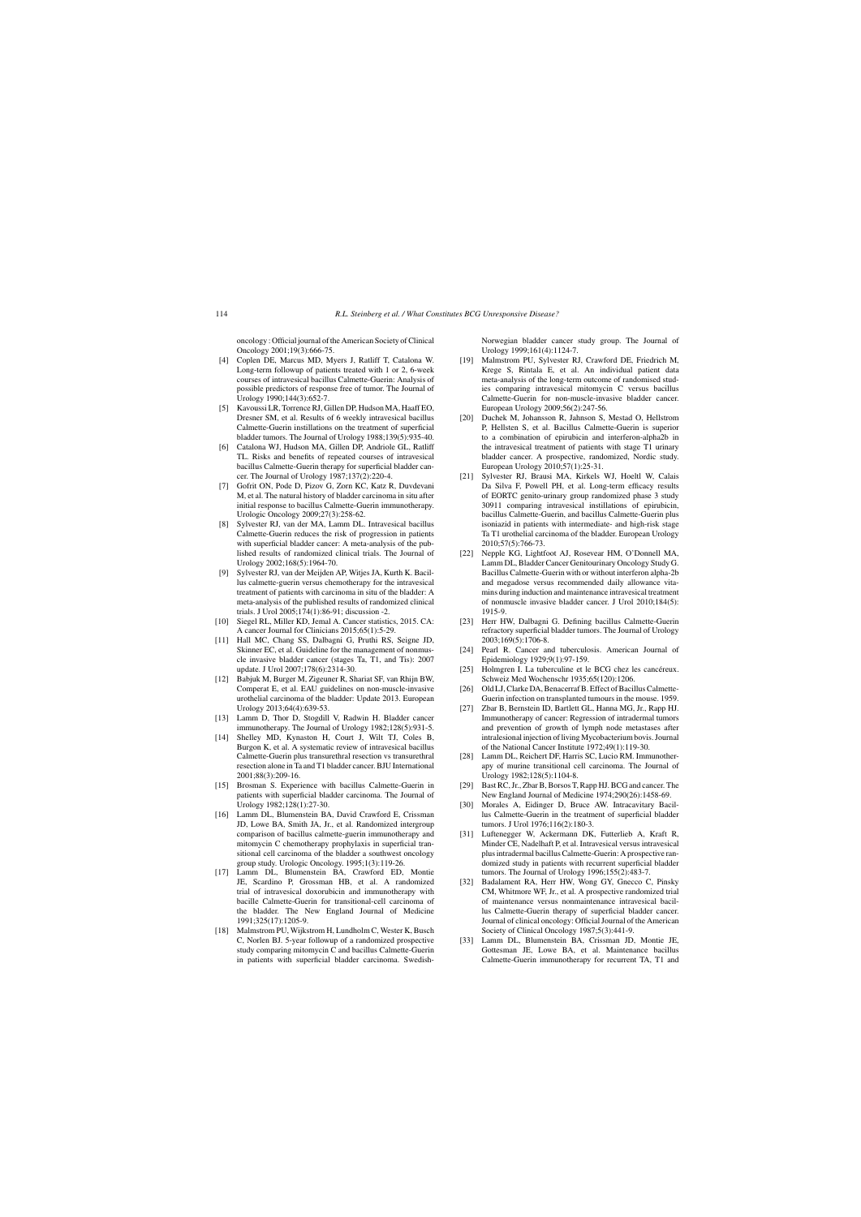oncology : Official journal of the American Society of Clinical Oncology 2001;19(3):666-75.

- [4] Coplen DE, Marcus MD, Myers J, Ratliff T, Catalona W. Long-term followup of patients treated with 1 or 2, 6-week courses of intravesical bacillus Calmette-Guerin: Analysis of possible predictors of response free of tumor. The Journal of Urology 1990;144(3):652-7.
- Kavoussi LR, Torrence RJ, Gillen DP, Hudson MA, Haaff EO, Dresner SM, et al. Results of 6 weekly intravesical bacillus Calmette-Guerin instillations on the treatment of superficial bladder tumors. The Journal of Urology 1988;139(5):935-40.
- [6] Catalona WJ, Hudson MA, Gillen DP, Andriole GL, Ratliff TL. Risks and benefits of repeated courses of intravesical bacillus Calmette-Guerin therapy for superficial bladder cancer. The Journal of Urology 1987;137(2):220-4.
- [7] Gofrit ON, Pode D, Pizov G, Zorn KC, Katz R, Duvdevani M, et al. The natural history of bladder carcinoma in situ after initial response to bacillus Calmette-Guerin immunotherapy. Urologic Oncology 2009;27(3):258-62.
- [8] Sylvester RJ, van der MA, Lamm DL. Intravesical bacillus Calmette-Guerin reduces the risk of progression in patients with superficial bladder cancer: A meta-analysis of the published results of randomized clinical trials. The Journal of Urology 2002;168(5):1964-70.
- [9] Sylvester RJ, van der Meijden AP, Witjes JA, Kurth K. Bacillus calmette-guerin versus chemotherapy for the intravesical treatment of patients with carcinoma in situ of the bladder: A meta-analysis of the published results of randomized clinical trials. J Urol 2005;174(1):86-91; discussion -2.
- [10] Siegel RL, Miller KD, Jemal A. Cancer statistics, 2015. CA: A cancer Journal for Clinicians 2015;65(1):5-29.
- [11] Hall MC, Chang SS, Dalbagni G, Pruthi RS, Seigne JD, Skinner EC, et al. Guideline for the management of nonmuscle invasive bladder cancer (stages Ta, T1, and Tis): 2007 update. J Urol 2007;178(6):2314-30.
- [12] Babjuk M, Burger M, Zigeuner R, Shariat SF, van Rhijn BW, Comperat E, et al. EAU guidelines on non-muscle-invasive urothelial carcinoma of the bladder: Update 2013. European Urology 2013;64(4):639-53.
- [13] Lamm D, Thor D, Stogdill V, Radwin H. Bladder cancer immunotherapy. The Journal of Urology 1982;128(5):931-5.
- [14] Shelley MD, Kynaston H, Court J, Wilt TJ, Coles B, Burgon K, et al. A systematic review of intravesical bacillus Calmette-Guerin plus transurethral resection vs transurethral resection alone in Ta and T1 bladder cancer. BJU International 2001;88(3):209-16.
- [15] Brosman S. Experience with bacillus Calmette-Guerin in patients with superficial bladder carcinoma. The Journal of Urology 1982;128(1):27-30.
- [16] Lamm DL, Blumenstein BA, David Crawford E, Crissman JD, Lowe BA, Smith JA, Jr., et al. Randomized intergroup comparison of bacillus calmette-guerin immunotherapy and mitomycin C chemotherapy prophylaxis in superficial transitional cell carcinoma of the bladder a southwest oncology group study. Urologic Oncology. 1995;1(3):119-26.
- [17] Lamm DL, Blumenstein BA, Crawford ED, Montie JE, Scardino P, Grossman HB, et al. A randomized trial of intravesical doxorubicin and immunotherapy with bacille Calmette-Guerin for transitional-cell carcinoma of the bladder. The New England Journal of Medicine 1991;325(17):1205-9.
- [18] Malmstrom PU, Wijkstrom H, Lundholm C, Wester K, Busch C, Norlen BJ. 5-year followup of a randomized prospective study comparing mitomycin C and bacillus Calmette-Guerin in patients with superficial bladder carcinoma. Swedish-

Norwegian bladder cancer study group. The Journal of Urology 1999;161(4):1124-7.

- [19] Malmstrom PU, Sylvester RJ, Crawford DE, Friedrich M, Krege S, Rintala E, et al. An individual patient data meta-analysis of the long-term outcome of randomised studies comparing intravesical mitomycin C versus bacillus Calmette-Guerin for non-muscle-invasive bladder cancer. European Urology 2009;56(2):247-56.
- [20] Duchek M, Johansson R, Jahnson S, Mestad O, Hellstrom P, Hellsten S, et al. Bacillus Calmette-Guerin is superior to a combination of epirubicin and interferon-alpha2b in the intravesical treatment of patients with stage T1 urinary bladder cancer. A prospective, randomized, Nordic study. European Urology 2010;57(1):25-31.
- [21] Sylvester RJ, Brausi MA, Kirkels WJ, Hoeltl W, Calais Da Silva F, Powell PH, et al. Long-term efficacy results of EORTC genito-urinary group randomized phase 3 study 30911 comparing intravesical instillations of epirubicin, bacillus Calmette-Guerin, and bacillus Calmette-Guerin plus isoniazid in patients with intermediate- and high-risk stage Ta T1 urothelial carcinoma of the bladder. European Urology 2010;57(5):766-73.
- [22] Nepple KG, Lightfoot AJ, Rosevear HM, O'Donnell MA, Lamm DL, Bladder Cancer Genitourinary Oncology Study G. Bacillus Calmette-Guerin with or without interferon alpha-2b and megadose versus recommended daily allowance vitamins during induction and maintenance intravesical treatment of nonmuscle invasive bladder cancer. J Urol 2010;184(5): 1915-9.
- [23] Herr HW, Dalbagni G. Defining bacillus Calmette-Guerin refractory superficial bladder tumors. The Journal of Urology 2003;169(5):1706-8.
- [24] Pearl R. Cancer and tuberculosis. American Journal of Epidemiology 1929;9(1):97-159.
- [25] Holmgren I. La tuberculine et le BCG chez les cancéreux. Schweiz Med Wochenschr 1935;65(120):1206.
- [26] Old LJ, Clarke DA, Benacerraf B, Effect of Bacillus Calmette-Guerin infection on transplanted tumours in the mouse. 1959.
- [27] Zbar B, Bernstein ID, Bartlett GL, Hanna MG, Jr., Rapp HJ. Immunotherapy of cancer: Regression of intradermal tumors and prevention of growth of lymph node metastases after intralesional injection of living Mycobacterium bovis. Journal of the National Cancer Institute 1972;49(1):119-30.
- [28] Lamm DL, Reichert DF, Harris SC, Lucio RM. Immunotherapy of murine transitional cell carcinoma. The Journal of Urology 1982;128(5):1104-8.
- [29] Bast RC, Jr., Zbar B, Borsos T, Rapp HJ. BCG and cancer. The New England Journal of Medicine 1974;290(26):1458-69.
- [30] Morales A, Eidinger D, Bruce AW. Intracavitary Bacillus Calmette-Guerin in the treatment of superficial bladder tumors. J Urol 1976;116(2):180-3.
- [31] Luftenegger W, Ackermann DK, Futterlieb A, Kraft R, Minder CE, Nadelhaft P, et al. Intravesical versus intravesical plus intradermal bacillus Calmette-Guerin: A prospective randomized study in patients with recurrent superficial bladder tumors. The Journal of Urology 1996;155(2):483-7.
- [32] Badalament RA, Herr HW, Wong GY, Gnecco C, Pinsky CM, Whitmore WF, Jr., et al. A prospective randomized trial of maintenance versus nonmaintenance intravesical bacillus Calmette-Guerin therapy of superficial bladder cancer. Journal of clinical oncology: Official Journal of the American Society of Clinical Oncology 1987;5(3):441-9.
- [33] Lamm DL, Blumenstein BA, Crissman JD, Montie JE, Gottesman JE, Lowe BA, et al. Maintenance bacillus Calmette-Guerin immunotherapy for recurrent TA, T1 and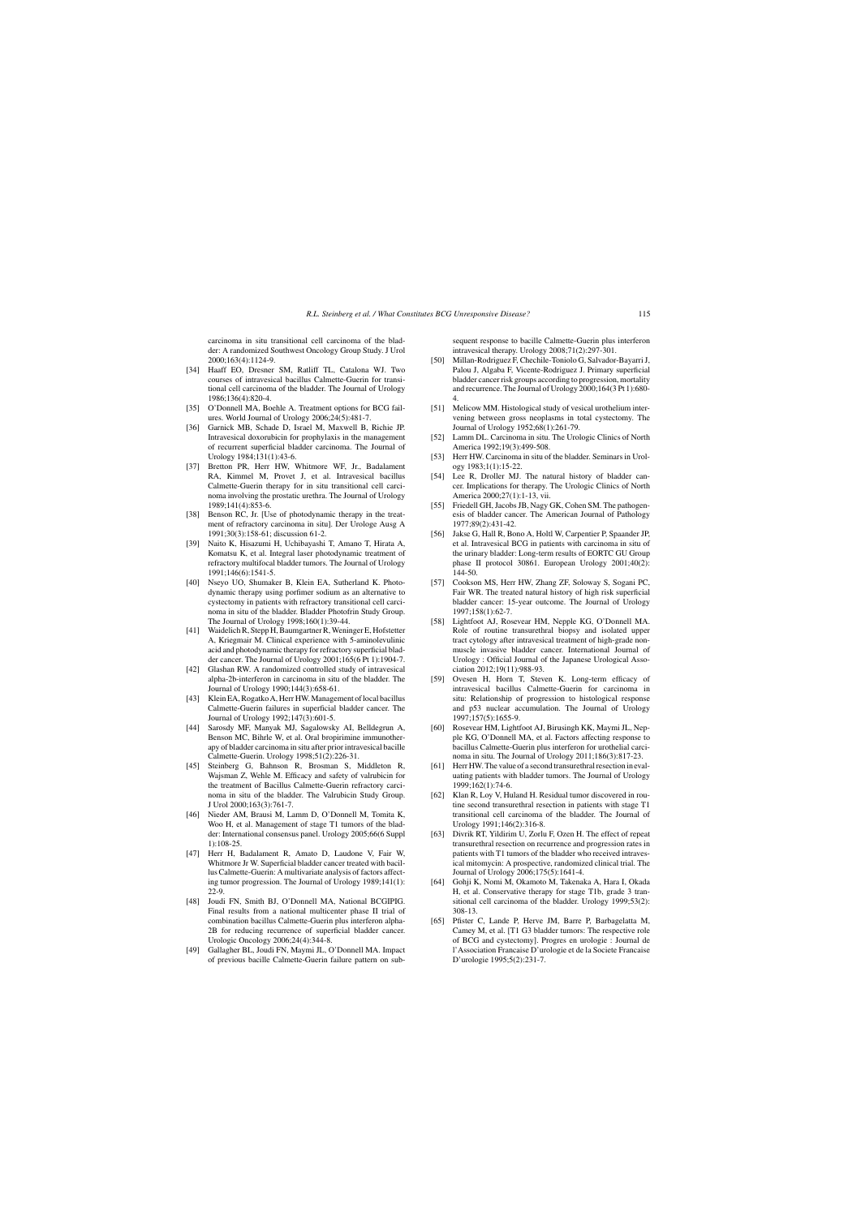carcinoma in situ transitional cell carcinoma of the bladder: A randomized Southwest Oncology Group Study. J Urol 2000;163(4):1124-9.

- [34] Haaff EO, Dresner SM, Ratliff TL, Catalona WJ. Two courses of intravesical bacillus Calmette-Guerin for transitional cell carcinoma of the bladder. The Journal of Urology 1986;136(4):820-4.
- [35] O'Donnell MA, Boehle A. Treatment options for BCG failures. World Journal of Urology 2006;24(5):481-7.
- [36] Garnick MB, Schade D, Israel M, Maxwell B, Richie JP. Intravesical doxorubicin for prophylaxis in the management of recurrent superficial bladder carcinoma. The Journal of Urology 1984;131(1):43-6.
- [37] Bretton PR, Herr HW, Whitmore WF, Jr., Badalament RA, Kimmel M, Provet J, et al. Intravesical bacillus Calmette-Guerin therapy for in situ transitional cell carcinoma involving the prostatic urethra. The Journal of Urology 1989;141(4):853-6.
- [38] Benson RC, Jr. [Use of photodynamic therapy in the treatment of refractory carcinoma in situ]. Der Urologe Ausg A 1991;30(3):158-61; discussion 61-2.
- [39] Naito K, Hisazumi H, Uchibayashi T, Amano T, Hirata A, Komatsu K, et al. Integral laser photodynamic treatment of refractory multifocal bladder tumors. The Journal of Urology 1991;146(6):1541-5.
- [40] Nseyo UO, Shumaker B, Klein EA, Sutherland K. Photodynamic therapy using porfimer sodium as an alternative to cystectomy in patients with refractory transitional cell carcinoma in situ of the bladder. Bladder Photofrin Study Group. The Journal of Urology 1998;160(1):39-44.
- [41] Waidelich R, Stepp H, Baumgartner R, Weninger E, Hofstetter A, Kriegmair M. Clinical experience with 5-aminolevulinic acid and photodynamic therapy for refractory superficial bladder cancer. The Journal of Urology 2001;165(6 Pt 1):1904-7.
- [42] Glashan RW. A randomized controlled study of intravesical alpha-2b-interferon in carcinoma in situ of the bladder. The Journal of Urology 1990;144(3):658-61.
- [43] Klein EA, Rogatko A, Herr HW. Management of local bacillus Calmette-Guerin failures in superficial bladder cancer. The Journal of Urology 1992;147(3):601-5.
- [44] Sarosdy MF, Manyak MJ, Sagalowsky AI, Belldegrun A, Benson MC, Bihrle W, et al. Oral bropirimine immunotherapy of bladder carcinoma in situ after prior intravesical bacille Calmette-Guerin. Urology 1998;51(2):226-31.
- Steinberg G, Bahnson R, Brosman S, Middleton R, Wajsman Z, Wehle M. Efficacy and safety of valrubicin for the treatment of Bacillus Calmette-Guerin refractory carcinoma in situ of the bladder. The Valrubicin Study Group. J Urol 2000;163(3):761-7.
- [46] Nieder AM, Brausi M, Lamm D, O'Donnell M, Tomita K, Woo H, et al. Management of stage T1 tumors of the bladder: International consensus panel. Urology 2005;66(6 Suppl 1):108-25.
- [47] Herr H, Badalament R, Amato D, Laudone V, Fair W, Whitmore Jr W. Superficial bladder cancer treated with bacillus Calmette-Guerin: A multivariate analysis of factors affecting tumor progression. The Journal of Urology 1989;141(1): 22-9.
- [48] Joudi FN, Smith BJ, O'Donnell MA, National BCGIPIG. Final results from a national multicenter phase II trial of combination bacillus Calmette-Guerin plus interferon alpha-2B for reducing recurrence of superficial bladder cancer. Urologic Oncology 2006;24(4):344-8.
- [49] Gallagher BL, Joudi FN, Maymi JL, O'Donnell MA. Impact of previous bacille Calmette-Guerin failure pattern on sub-

sequent response to bacille Calmette-Guerin plus interferon intravesical therapy. Urology 2008;71(2):297-301.

- [50] Millan-Rodriguez F, Chechile-Toniolo G, Salvador-Bayarri J, Palou J, Algaba F, Vicente-Rodriguez J. Primary superficial bladder cancer risk groups according to progression, mortality and recurrence. The Journal of Urology 2000;164(3 Pt 1):680- 4.
- [51] Melicow MM. Histological study of vesical urothelium intervening between gross neoplasms in total cystectomy. The Journal of Urology 1952;68(1):261-79.
- [52] Lamm DL. Carcinoma in situ. The Urologic Clinics of North America 1992;19(3):499-508.
- [53] Herr HW. Carcinoma in situ of the bladder. Seminars in Urology 1983;1(1):15-22.
- [54] Lee R, Droller MJ. The natural history of bladder cancer. Implications for therapy. The Urologic Clinics of North America 2000;27(1):1-13, vii.
- [55] Friedell GH, Jacobs JB, Nagy GK, Cohen SM. The pathogenesis of bladder cancer. The American Journal of Pathology 1977;89(2):431-42.
- [56] Jakse G, Hall R, Bono A, Holtl W, Carpentier P, Spaander JP, et al. Intravesical BCG in patients with carcinoma in situ of the urinary bladder: Long-term results of EORTC GU Group phase II protocol 30861. European Urology 2001;40(2): 144-50.
- [57] Cookson MS, Herr HW, Zhang ZF, Soloway S, Sogani PC, Fair WR. The treated natural history of high risk superficial bladder cancer: 15-year outcome. The Journal of Urology 1997;158(1):62-7.
- [58] Lightfoot AJ, Rosevear HM, Nepple KG, O'Donnell MA. Role of routine transurethral biopsy and isolated upper tract cytology after intravesical treatment of high-grade nonmuscle invasive bladder cancer. International Journal of Urology : Official Journal of the Japanese Urological Association 2012;19(11):988-93.
- [59] Ovesen H, Horn T, Steven K. Long-term efficacy of intravesical bacillus Calmette-Guerin for carcinoma in situ: Relationship of progression to histological response and p53 nuclear accumulation. The Journal of Urology 1997;157(5):1655-9.
- [60] Rosevear HM, Lightfoot AJ, Birusingh KK, Maymi JL, Nepple KG, O'Donnell MA, et al. Factors affecting response to bacillus Calmette-Guerin plus interferon for urothelial carcinoma in situ. The Journal of Urology 2011;186(3):817-23.
- [61] Herr HW. The value of a second transurethral resection in evaluating patients with bladder tumors. The Journal of Urology 1999;162(1):74-6.
- [62] Klan R, Loy V, Huland H. Residual tumor discovered in routine second transurethral resection in patients with stage T1 transitional cell carcinoma of the bladder. The Journal of Urology 1991;146(2):316-8.
- [63] Divrik RT, Yildirim U, Zorlu F, Ozen H. The effect of repeat transurethral resection on recurrence and progression rates in patients with T1 tumors of the bladder who received intravesical mitomycin: A prospective, randomized clinical trial. The Journal of Urology 2006;175(5):1641-4.
- [64] Gohji K, Nomi M, Okamoto M, Takenaka A, Hara I, Okada H, et al. Conservative therapy for stage T1b, grade 3 transitional cell carcinoma of the bladder. Urology 1999;53(2): 308-13.
- [65] Pfister C, Lande P, Herve JM, Barre P, Barbagelatta M, Camey M, et al. [T1 G3 bladder tumors: The respective role of BCG and cystectomy]. Progres en urologie : Journal de l'Association Francaise D'urologie et de la Societe Francaise D'urologie 1995;5(2):231-7.